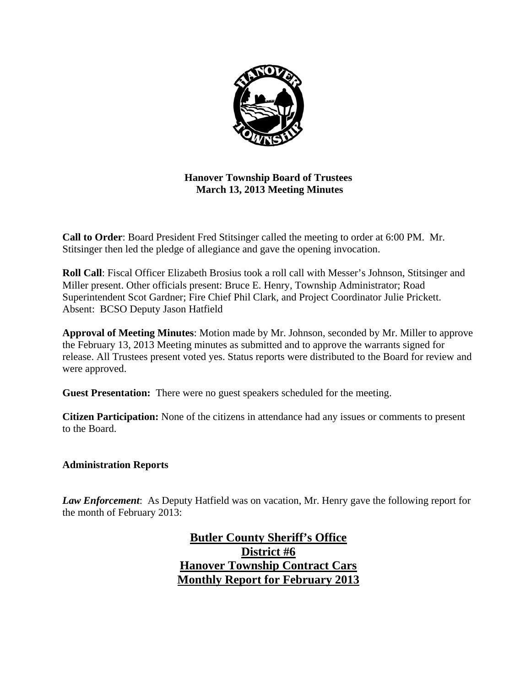

**Hanover Township Board of Trustees March 13, 2013 Meeting Minutes** 

**Call to Order**: Board President Fred Stitsinger called the meeting to order at 6:00 PM. Mr. Stitsinger then led the pledge of allegiance and gave the opening invocation.

**Roll Call**: Fiscal Officer Elizabeth Brosius took a roll call with Messer's Johnson, Stitsinger and Miller present. Other officials present: Bruce E. Henry, Township Administrator; Road Superintendent Scot Gardner; Fire Chief Phil Clark, and Project Coordinator Julie Prickett. Absent: BCSO Deputy Jason Hatfield

**Approval of Meeting Minutes**: Motion made by Mr. Johnson, seconded by Mr. Miller to approve the February 13, 2013 Meeting minutes as submitted and to approve the warrants signed for release. All Trustees present voted yes. Status reports were distributed to the Board for review and were approved.

**Guest Presentation:** There were no guest speakers scheduled for the meeting.

**Citizen Participation:** None of the citizens in attendance had any issues or comments to present to the Board.

#### **Administration Reports**

*Law Enforcement*: As Deputy Hatfield was on vacation, Mr. Henry gave the following report for the month of February 2013:

> **Butler County Sheriff's Office District #6 Hanover Township Contract Cars Monthly Report for February 2013**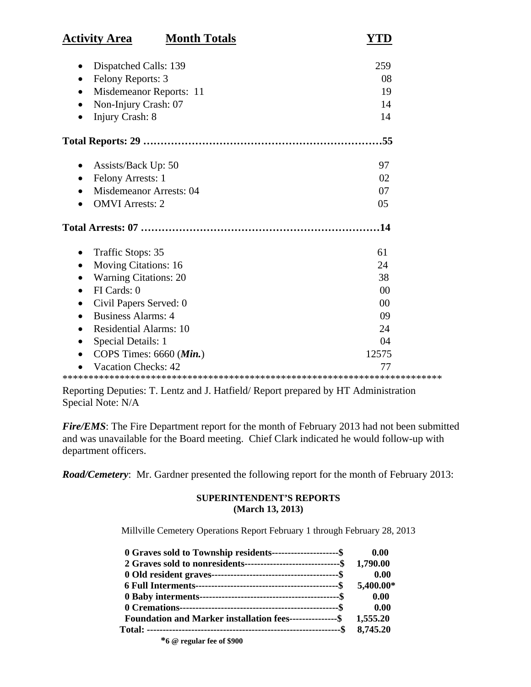| <b>Activity Area</b><br><b>Month Totals</b> |                |
|---------------------------------------------|----------------|
| Dispatched Calls: 139                       | 259            |
| Felony Reports: 3<br>$\bullet$              | 08             |
| Misdemeanor Reports: 11                     | 19             |
| Non-Injury Crash: 07                        | 14             |
| Injury Crash: 8                             | 14             |
|                                             |                |
|                                             | .55            |
| Assists/Back Up: 50                         | 97             |
| Felony Arrests: 1                           | 02             |
| <b>Misdemeanor Arrests: 04</b>              | 07             |
| <b>OMVI</b> Arrests: 2                      | 05             |
|                                             | .14            |
| Traffic Stops: 35                           | 61             |
| <b>Moving Citations: 16</b>                 | 24             |
| <b>Warning Citations: 20</b>                | 38             |
| FI Cards: 0                                 | 00             |
| Civil Papers Served: 0                      | 0 <sup>0</sup> |
| <b>Business Alarms: 4</b>                   | 09             |
| <b>Residential Alarms: 10</b>               | 24             |
| Special Details: 1                          | 04             |
| COPS Times: $6660$ ( <i>Min.</i> )          | 12575          |
| <b>Vacation Checks: 42</b>                  | 77             |
|                                             |                |

Reporting Deputies: T. Lentz and J. Hatfield/ Report prepared by HT Administration Special Note: N/A

*Fire/EMS*: The Fire Department report for the month of February 2013 had not been submitted and was unavailable for the Board meeting. Chief Clark indicated he would follow-up with department officers.

*Road/Cemetery*: Mr. Gardner presented the following report for the month of February 2013:

#### **SUPERINTENDENT'S REPORTS (March 13, 2013)**

Millville Cemetery Operations Report February 1 through February 28, 2013

| 0 Graves sold to Township residents----------------------\$               | 0.00      |
|---------------------------------------------------------------------------|-----------|
| 2 Graves sold to nonresidents---------------------------------\$ 1,790.00 |           |
|                                                                           | 0.00      |
|                                                                           | 5,400.00* |
|                                                                           | 0.00      |
|                                                                           | 0.00      |
| Foundation and Marker installation fees---------------\$ 1,555.20         |           |
|                                                                           | 8,745.20  |
| she a choose                                                              |           |

 **\*6 @ regular fee of \$900**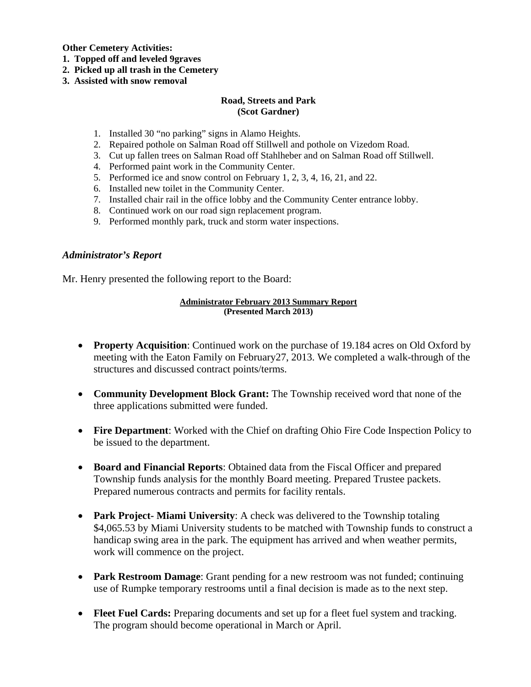**Other Cemetery Activities:** 

- **1. Topped off and leveled 9graves**
- **2. Picked up all trash in the Cemetery**
- **3. Assisted with snow removal**

#### **Road, Streets and Park (Scot Gardner)**

- 1. Installed 30 "no parking" signs in Alamo Heights.
- 2. Repaired pothole on Salman Road off Stillwell and pothole on Vizedom Road.
- 3. Cut up fallen trees on Salman Road off Stahlheber and on Salman Road off Stillwell.
- 4. Performed paint work in the Community Center.
- 5. Performed ice and snow control on February 1, 2, 3, 4, 16, 21, and 22.
- 6. Installed new toilet in the Community Center.
- 7. Installed chair rail in the office lobby and the Community Center entrance lobby.
- 8. Continued work on our road sign replacement program.
- 9. Performed monthly park, truck and storm water inspections.

#### *Administrator's Report*

Mr. Henry presented the following report to the Board:

#### **Administrator February 2013 Summary Report (Presented March 2013)**

- **Property Acquisition**: Continued work on the purchase of 19.184 acres on Old Oxford by meeting with the Eaton Family on February27, 2013. We completed a walk-through of the structures and discussed contract points/terms.
- **Community Development Block Grant:** The Township received word that none of the three applications submitted were funded.
- **Fire Department**: Worked with the Chief on drafting Ohio Fire Code Inspection Policy to be issued to the department.
- **Board and Financial Reports**: Obtained data from the Fiscal Officer and prepared Township funds analysis for the monthly Board meeting. Prepared Trustee packets. Prepared numerous contracts and permits for facility rentals.
- **Park Project- Miami University**: A check was delivered to the Township totaling \$4,065.53 by Miami University students to be matched with Township funds to construct a handicap swing area in the park. The equipment has arrived and when weather permits, work will commence on the project.
- **Park Restroom Damage:** Grant pending for a new restroom was not funded; continuing use of Rumpke temporary restrooms until a final decision is made as to the next step.
- **Fleet Fuel Cards:** Preparing documents and set up for a fleet fuel system and tracking. The program should become operational in March or April.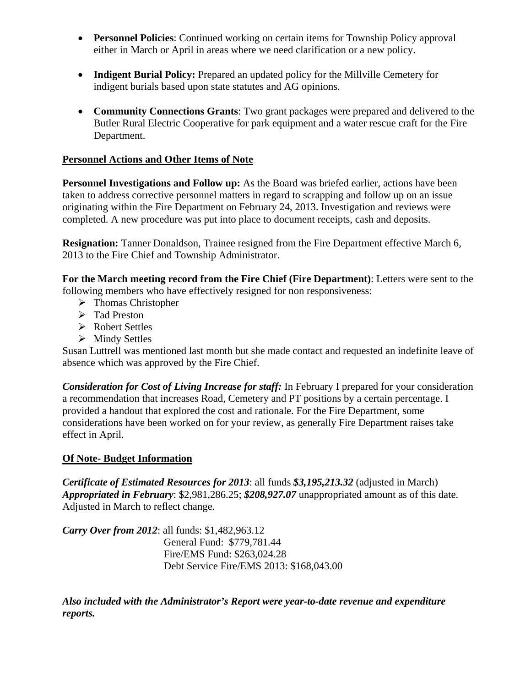- **Personnel Policies**: Continued working on certain items for Township Policy approval either in March or April in areas where we need clarification or a new policy.
- Indigent Burial Policy: Prepared an updated policy for the Millville Cemetery for indigent burials based upon state statutes and AG opinions.
- **Community Connections Grants**: Two grant packages were prepared and delivered to the Butler Rural Electric Cooperative for park equipment and a water rescue craft for the Fire Department.

# **Personnel Actions and Other Items of Note**

**Personnel Investigations and Follow up:** As the Board was briefed earlier, actions have been taken to address corrective personnel matters in regard to scrapping and follow up on an issue originating within the Fire Department on February 24, 2013. Investigation and reviews were completed. A new procedure was put into place to document receipts, cash and deposits.

**Resignation:** Tanner Donaldson, Trainee resigned from the Fire Department effective March 6, 2013 to the Fire Chief and Township Administrator.

**For the March meeting record from the Fire Chief (Fire Department)**: Letters were sent to the following members who have effectively resigned for non responsiveness:

- > Thomas Christopher
- > Tad Preston
- Robert Settles
- $\triangleright$  Mindy Settles

Susan Luttrell was mentioned last month but she made contact and requested an indefinite leave of absence which was approved by the Fire Chief.

*Consideration for Cost of Living Increase for staff:* In February I prepared for your consideration a recommendation that increases Road, Cemetery and PT positions by a certain percentage. I provided a handout that explored the cost and rationale. For the Fire Department, some considerations have been worked on for your review, as generally Fire Department raises take effect in April.

## **Of Note- Budget Information**

*Certificate of Estimated Resources for 2013*: all funds *\$3,195,213.32* (adjusted in March) *Appropriated in February*: \$2,981,286.25; *\$208,927.07* unappropriated amount as of this date. Adjusted in March to reflect change.

*Carry Over from 2012*: all funds: \$1,482,963.12 General Fund: \$779,781.44 Fire/EMS Fund: \$263,024.28 Debt Service Fire/EMS 2013: \$168,043.00

*Also included with the Administrator's Report were year-to-date revenue and expenditure reports.*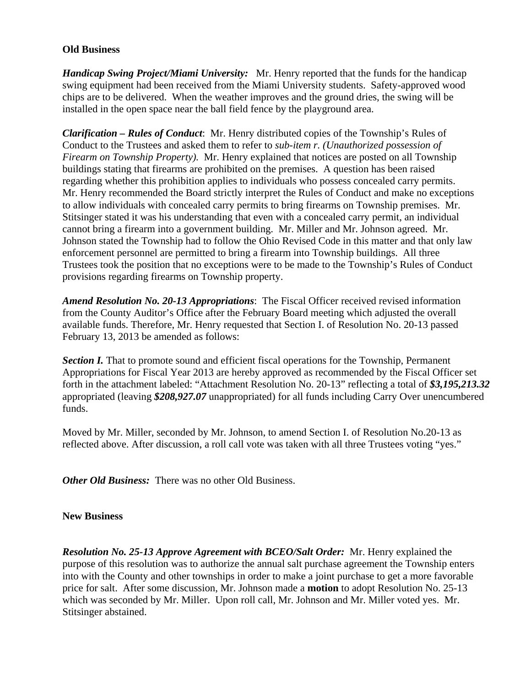#### **Old Business**

*Handicap Swing Project/Miami University:* Mr. Henry reported that the funds for the handicap swing equipment had been received from the Miami University students. Safety-approved wood chips are to be delivered. When the weather improves and the ground dries, the swing will be installed in the open space near the ball field fence by the playground area.

*Clarification – Rules of Conduct*: Mr. Henry distributed copies of the Township's Rules of Conduct to the Trustees and asked them to refer to *sub-item r. (Unauthorized possession of Firearm on Township Property).* Mr. Henry explained that notices are posted on all Township buildings stating that firearms are prohibited on the premises. A question has been raised regarding whether this prohibition applies to individuals who possess concealed carry permits. Mr. Henry recommended the Board strictly interpret the Rules of Conduct and make no exceptions to allow individuals with concealed carry permits to bring firearms on Township premises. Mr. Stitsinger stated it was his understanding that even with a concealed carry permit, an individual cannot bring a firearm into a government building. Mr. Miller and Mr. Johnson agreed. Mr. Johnson stated the Township had to follow the Ohio Revised Code in this matter and that only law enforcement personnel are permitted to bring a firearm into Township buildings. All three Trustees took the position that no exceptions were to be made to the Township's Rules of Conduct provisions regarding firearms on Township property.

*Amend Resolution No. 20-13 Appropriations*: The Fiscal Officer received revised information from the County Auditor's Office after the February Board meeting which adjusted the overall available funds. Therefore, Mr. Henry requested that Section I. of Resolution No. 20-13 passed February 13, 2013 be amended as follows:

**Section I.** That to promote sound and efficient fiscal operations for the Township, Permanent Appropriations for Fiscal Year 2013 are hereby approved as recommended by the Fiscal Officer set forth in the attachment labeled: "Attachment Resolution No. 20-13" reflecting a total of *\$3,195,213.32* appropriated (leaving *\$208,927.07* unappropriated) for all funds including Carry Over unencumbered funds.

Moved by Mr. Miller, seconded by Mr. Johnson, to amend Section I. of Resolution No.20-13 as reflected above. After discussion, a roll call vote was taken with all three Trustees voting "yes."

*Other Old Business:* There was no other Old Business.

#### **New Business**

*Resolution No. 25-13 Approve Agreement with BCEO/Salt Order:* Mr. Henry explained the purpose of this resolution was to authorize the annual salt purchase agreement the Township enters into with the County and other townships in order to make a joint purchase to get a more favorable price for salt. After some discussion, Mr. Johnson made a **motion** to adopt Resolution No. 25-13 which was seconded by Mr. Miller. Upon roll call, Mr. Johnson and Mr. Miller voted yes. Mr. Stitsinger abstained.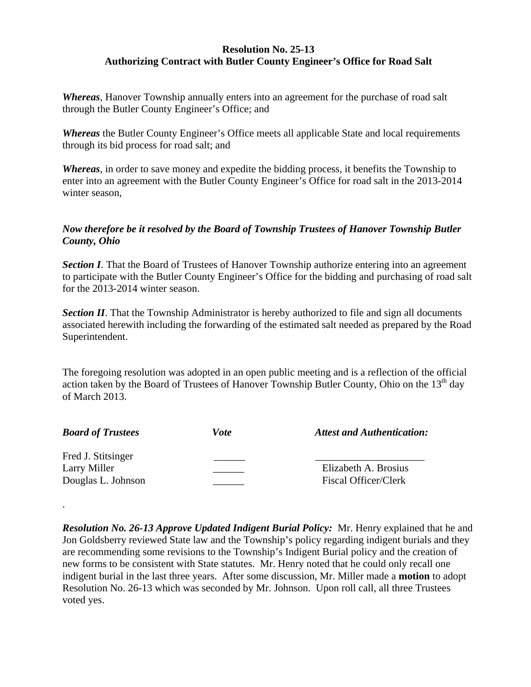## **Resolution No. 25-13 Authorizing Contract with Butler County Engineer's Office for Road Salt**

*Whereas*, Hanover Township annually enters into an agreement for the purchase of road salt through the Butler County Engineer's Office; and

*Whereas* the Butler County Engineer's Office meets all applicable State and local requirements through its bid process for road salt; and

*Whereas*, in order to save money and expedite the bidding process, it benefits the Township to enter into an agreement with the Butler County Engineer's Office for road salt in the 2013-2014 winter season,

# *Now therefore be it resolved by the Board of Township Trustees of Hanover Township Butler County, Ohio*

**Section I.** That the Board of Trustees of Hanover Township authorize entering into an agreement to participate with the Butler County Engineer's Office for the bidding and purchasing of road salt for the 2013-2014 winter season.

**Section II**. That the Township Administrator is hereby authorized to file and sign all documents associated herewith including the forwarding of the estimated salt needed as prepared by the Road Superintendent.

The foregoing resolution was adopted in an open public meeting and is a reflection of the official action taken by the Board of Trustees of Hanover Township Butler County, Ohio on the  $13<sup>th</sup>$  day of March 2013.

| <b>Board of Trustees</b> | Vote | <b>Attest and Authentication:</b> |
|--------------------------|------|-----------------------------------|
| Fred J. Stitsinger       |      |                                   |
| Larry Miller             |      | Elizabeth A. Brosius              |
| Douglas L. Johnson       |      | Fiscal Officer/Clerk              |

.

*Resolution No. 26-13 Approve Updated Indigent Burial Policy:* Mr. Henry explained that he and Jon Goldsberry reviewed State law and the Township's policy regarding indigent burials and they are recommending some revisions to the Township's Indigent Burial policy and the creation of new forms to be consistent with State statutes. Mr. Henry noted that he could only recall one indigent burial in the last three years. After some discussion, Mr. Miller made a **motion** to adopt Resolution No. 26-13 which was seconded by Mr. Johnson. Upon roll call, all three Trustees voted yes.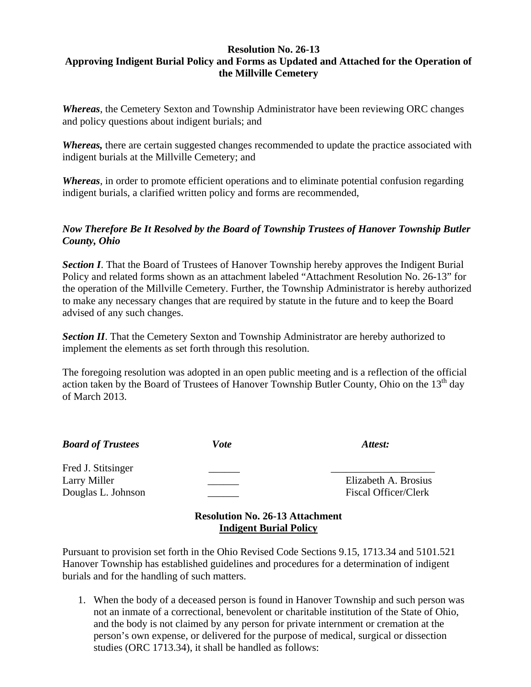## **Resolution No. 26-13 Approving Indigent Burial Policy and Forms as Updated and Attached for the Operation of the Millville Cemetery**

*Whereas*, the Cemetery Sexton and Township Administrator have been reviewing ORC changes and policy questions about indigent burials; and

*Whereas,* there are certain suggested changes recommended to update the practice associated with indigent burials at the Millville Cemetery; and

*Whereas*, in order to promote efficient operations and to eliminate potential confusion regarding indigent burials, a clarified written policy and forms are recommended,

# *Now Therefore Be It Resolved by the Board of Township Trustees of Hanover Township Butler County, Ohio*

**Section I.** That the Board of Trustees of Hanover Township hereby approves the Indigent Burial Policy and related forms shown as an attachment labeled "Attachment Resolution No. 26-13" for the operation of the Millville Cemetery. Further, the Township Administrator is hereby authorized to make any necessary changes that are required by statute in the future and to keep the Board advised of any such changes.

**Section II**. That the Cemetery Sexton and Township Administrator are hereby authorized to implement the elements as set forth through this resolution.

The foregoing resolution was adopted in an open public meeting and is a reflection of the official action taken by the Board of Trustees of Hanover Township Butler County, Ohio on the  $13<sup>th</sup>$  day of March 2013.

| <b>Board of Trustees</b> | Vote | Attest:              |
|--------------------------|------|----------------------|
| Fred J. Stitsinger       |      |                      |
| Larry Miller             |      | Elizabeth A. Brosius |
| Douglas L. Johnson       |      | Fiscal Officer/Clerk |
|                          |      |                      |

## **Resolution No. 26-13 Attachment Indigent Burial Policy**

Pursuant to provision set forth in the Ohio Revised Code Sections 9.15, 1713.34 and 5101.521 Hanover Township has established guidelines and procedures for a determination of indigent burials and for the handling of such matters.

1. When the body of a deceased person is found in Hanover Township and such person was not an inmate of a correctional, benevolent or charitable institution of the State of Ohio, and the body is not claimed by any person for private internment or cremation at the person's own expense, or delivered for the purpose of medical, surgical or dissection studies (ORC 1713.34), it shall be handled as follows: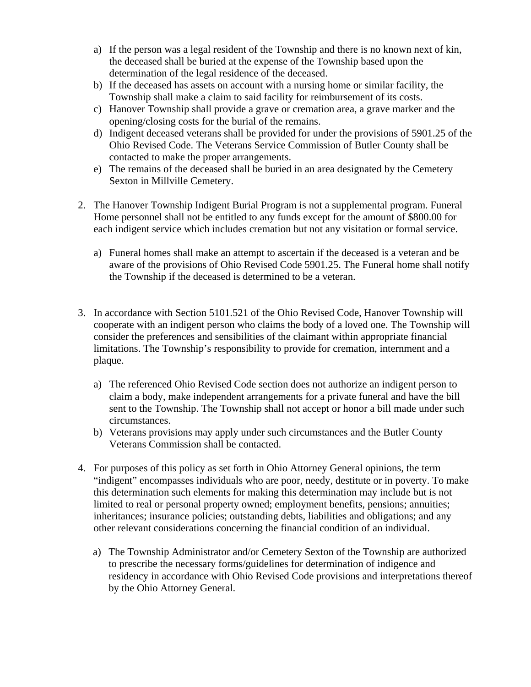- a) If the person was a legal resident of the Township and there is no known next of kin, the deceased shall be buried at the expense of the Township based upon the determination of the legal residence of the deceased.
- b) If the deceased has assets on account with a nursing home or similar facility, the Township shall make a claim to said facility for reimbursement of its costs.
- c) Hanover Township shall provide a grave or cremation area, a grave marker and the opening/closing costs for the burial of the remains.
- d) Indigent deceased veterans shall be provided for under the provisions of 5901.25 of the Ohio Revised Code. The Veterans Service Commission of Butler County shall be contacted to make the proper arrangements.
- e) The remains of the deceased shall be buried in an area designated by the Cemetery Sexton in Millville Cemetery.
- 2. The Hanover Township Indigent Burial Program is not a supplemental program. Funeral Home personnel shall not be entitled to any funds except for the amount of \$800.00 for each indigent service which includes cremation but not any visitation or formal service.
	- a) Funeral homes shall make an attempt to ascertain if the deceased is a veteran and be aware of the provisions of Ohio Revised Code 5901.25. The Funeral home shall notify the Township if the deceased is determined to be a veteran.
- 3. In accordance with Section 5101.521 of the Ohio Revised Code, Hanover Township will cooperate with an indigent person who claims the body of a loved one. The Township will consider the preferences and sensibilities of the claimant within appropriate financial limitations. The Township's responsibility to provide for cremation, internment and a plaque.
	- a) The referenced Ohio Revised Code section does not authorize an indigent person to claim a body, make independent arrangements for a private funeral and have the bill sent to the Township. The Township shall not accept or honor a bill made under such circumstances.
	- b) Veterans provisions may apply under such circumstances and the Butler County Veterans Commission shall be contacted.
- 4. For purposes of this policy as set forth in Ohio Attorney General opinions, the term "indigent" encompasses individuals who are poor, needy, destitute or in poverty. To make this determination such elements for making this determination may include but is not limited to real or personal property owned; employment benefits, pensions; annuities; inheritances; insurance policies; outstanding debts, liabilities and obligations; and any other relevant considerations concerning the financial condition of an individual.
	- a) The Township Administrator and/or Cemetery Sexton of the Township are authorized to prescribe the necessary forms/guidelines for determination of indigence and residency in accordance with Ohio Revised Code provisions and interpretations thereof by the Ohio Attorney General.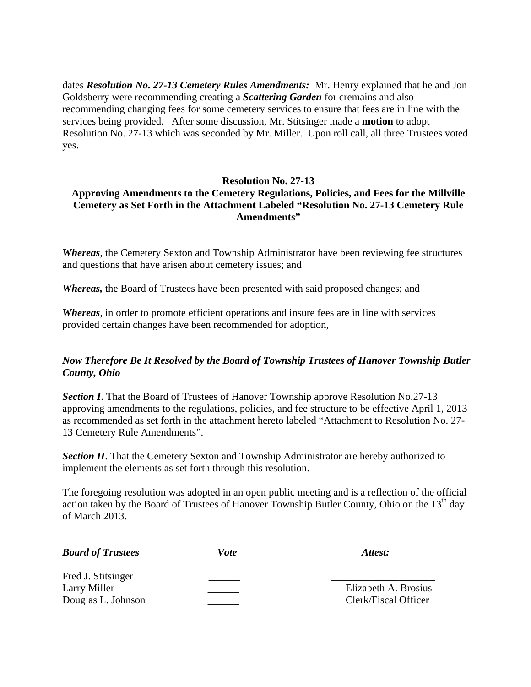dates *Resolution No. 27-13 Cemetery Rules Amendments:* Mr. Henry explained that he and Jon Goldsberry were recommending creating a *Scattering Garden* for cremains and also recommending changing fees for some cemetery services to ensure that fees are in line with the services being provided. After some discussion, Mr. Stitsinger made a **motion** to adopt Resolution No. 27-13 which was seconded by Mr. Miller. Upon roll call, all three Trustees voted yes.

#### **Resolution No. 27-13**

## **Approving Amendments to the Cemetery Regulations, Policies, and Fees for the Millville Cemetery as Set Forth in the Attachment Labeled "Resolution No. 27-13 Cemetery Rule Amendments"**

*Whereas*, the Cemetery Sexton and Township Administrator have been reviewing fee structures and questions that have arisen about cemetery issues; and

*Whereas,* the Board of Trustees have been presented with said proposed changes; and

*Whereas*, in order to promote efficient operations and insure fees are in line with services provided certain changes have been recommended for adoption,

## *Now Therefore Be It Resolved by the Board of Township Trustees of Hanover Township Butler County, Ohio*

**Section I**. That the Board of Trustees of Hanover Township approve Resolution No.27-13 approving amendments to the regulations, policies, and fee structure to be effective April 1, 2013 as recommended as set forth in the attachment hereto labeled "Attachment to Resolution No. 27- 13 Cemetery Rule Amendments".

**Section II**. That the Cemetery Sexton and Township Administrator are hereby authorized to implement the elements as set forth through this resolution.

The foregoing resolution was adopted in an open public meeting and is a reflection of the official action taken by the Board of Trustees of Hanover Township Butler County, Ohio on the  $13<sup>th</sup>$  day of March 2013.

| <b>Board of Trustees</b> | Vote | Attest:              |
|--------------------------|------|----------------------|
| Fred J. Stitsinger       |      |                      |
| Larry Miller             |      | Elizabeth A. Brosius |
| Douglas L. Johnson       |      | Clerk/Fiscal Officer |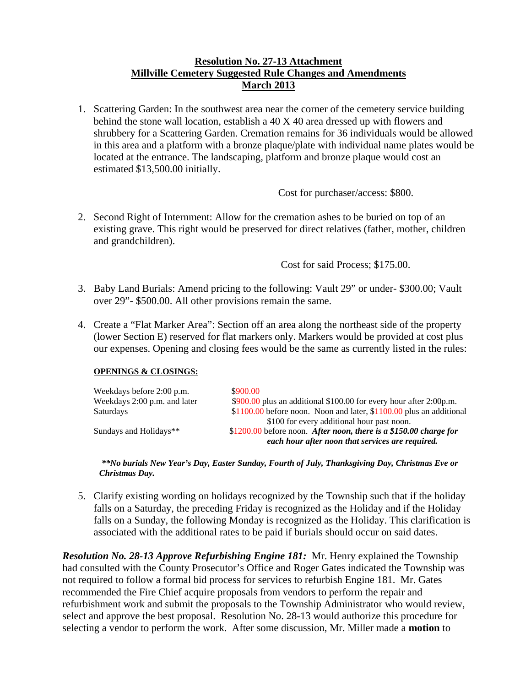## **Resolution No. 27-13 Attachment Millville Cemetery Suggested Rule Changes and Amendments March 2013**

1. Scattering Garden: In the southwest area near the corner of the cemetery service building behind the stone wall location, establish a 40 X 40 area dressed up with flowers and shrubbery for a Scattering Garden. Cremation remains for 36 individuals would be allowed in this area and a platform with a bronze plaque/plate with individual name plates would be located at the entrance. The landscaping, platform and bronze plaque would cost an estimated \$13,500.00 initially.

Cost for purchaser/access: \$800.

2. Second Right of Internment: Allow for the cremation ashes to be buried on top of an existing grave. This right would be preserved for direct relatives (father, mother, children and grandchildren).

Cost for said Process; \$175.00.

- 3. Baby Land Burials: Amend pricing to the following: Vault 29" or under- \$300.00; Vault over 29"- \$500.00. All other provisions remain the same.
- 4. Create a "Flat Marker Area": Section off an area along the northeast side of the property (lower Section E) reserved for flat markers only. Markers would be provided at cost plus our expenses. Opening and closing fees would be the same as currently listed in the rules:

#### **OPENINGS & CLOSINGS:**

| Weekdays before 2:00 p.m.<br>Weekdays 2:00 p.m. and later | \$900.00<br>\$900.00 plus an additional \$100.00 for every hour after 2:00p.m.                                  |
|-----------------------------------------------------------|-----------------------------------------------------------------------------------------------------------------|
| Saturdays                                                 | $$1100.00$ before noon. Noon and later, $$1100.00$ plus an additional                                           |
| Sundays and Holidays**                                    | \$100 for every additional hour past noon.<br>\$1200.00 before noon. After noon, there is a \$150.00 charge for |
|                                                           | each hour after noon that services are required.                                                                |

*\*\*No burials New Year's Day, Easter Sunday, Fourth of July, Thanksgiving Day, Christmas Eve or Christmas Day.*

5. Clarify existing wording on holidays recognized by the Township such that if the holiday falls on a Saturday, the preceding Friday is recognized as the Holiday and if the Holiday falls on a Sunday, the following Monday is recognized as the Holiday. This clarification is associated with the additional rates to be paid if burials should occur on said dates.

*Resolution No. 28-13 Approve Refurbishing Engine 181:* Mr. Henry explained the Township had consulted with the County Prosecutor's Office and Roger Gates indicated the Township was not required to follow a formal bid process for services to refurbish Engine 181. Mr. Gates recommended the Fire Chief acquire proposals from vendors to perform the repair and refurbishment work and submit the proposals to the Township Administrator who would review, select and approve the best proposal. Resolution No. 28-13 would authorize this procedure for selecting a vendor to perform the work. After some discussion, Mr. Miller made a **motion** to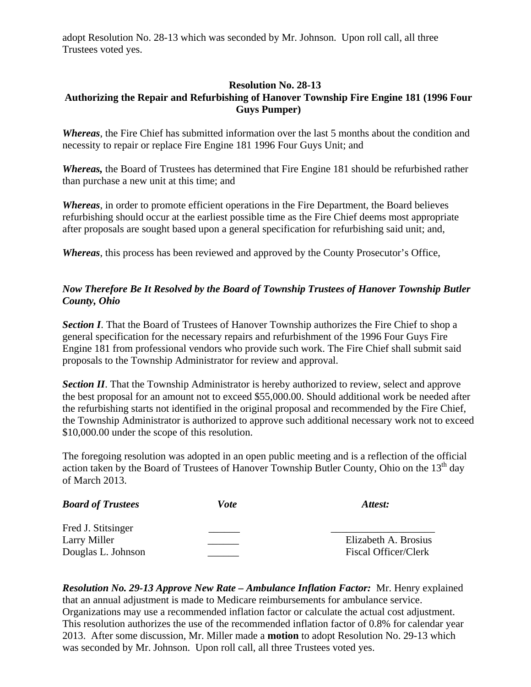adopt Resolution No. 28-13 which was seconded by Mr. Johnson. Upon roll call, all three Trustees voted yes.

## **Resolution No. 28-13 Authorizing the Repair and Refurbishing of Hanover Township Fire Engine 181 (1996 Four Guys Pumper)**

*Whereas*, the Fire Chief has submitted information over the last 5 months about the condition and necessity to repair or replace Fire Engine 181 1996 Four Guys Unit; and

*Whereas,* the Board of Trustees has determined that Fire Engine 181 should be refurbished rather than purchase a new unit at this time; and

*Whereas*, in order to promote efficient operations in the Fire Department, the Board believes refurbishing should occur at the earliest possible time as the Fire Chief deems most appropriate after proposals are sought based upon a general specification for refurbishing said unit; and,

*Whereas*, this process has been reviewed and approved by the County Prosecutor's Office,

# *Now Therefore Be It Resolved by the Board of Township Trustees of Hanover Township Butler County, Ohio*

**Section I**. That the Board of Trustees of Hanover Township authorizes the Fire Chief to shop a general specification for the necessary repairs and refurbishment of the 1996 Four Guys Fire Engine 181 from professional vendors who provide such work. The Fire Chief shall submit said proposals to the Township Administrator for review and approval.

**Section II**. That the Township Administrator is hereby authorized to review, select and approve the best proposal for an amount not to exceed \$55,000.00. Should additional work be needed after the refurbishing starts not identified in the original proposal and recommended by the Fire Chief, the Township Administrator is authorized to approve such additional necessary work not to exceed \$10,000.00 under the scope of this resolution.

The foregoing resolution was adopted in an open public meeting and is a reflection of the official action taken by the Board of Trustees of Hanover Township Butler County, Ohio on the  $13<sup>th</sup>$  day of March 2013.

| <b>Board of Trustees</b> | Vote | Attest:              |
|--------------------------|------|----------------------|
| Fred J. Stitsinger       |      |                      |
| Larry Miller             |      | Elizabeth A. Brosius |
| Douglas L. Johnson       |      | Fiscal Officer/Clerk |

*Resolution No. 29-13 Approve New Rate – Ambulance Inflation Factor:* Mr. Henry explained that an annual adjustment is made to Medicare reimbursements for ambulance service. Organizations may use a recommended inflation factor or calculate the actual cost adjustment. This resolution authorizes the use of the recommended inflation factor of 0.8% for calendar year 2013. After some discussion, Mr. Miller made a **motion** to adopt Resolution No. 29-13 which was seconded by Mr. Johnson. Upon roll call, all three Trustees voted yes.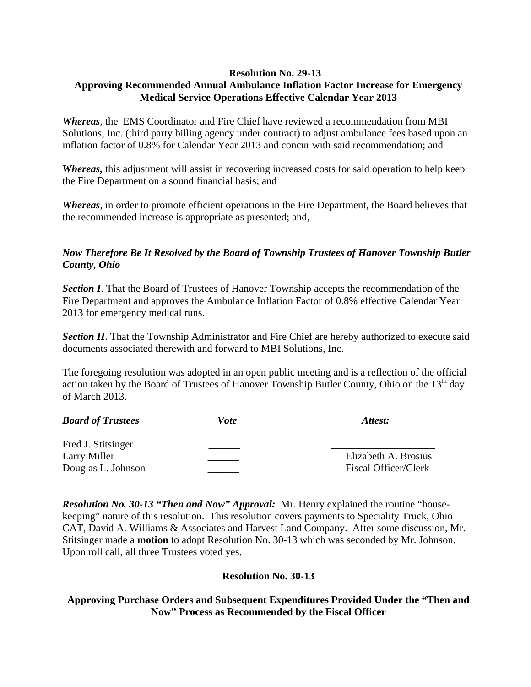## **Resolution No. 29-13**

# **Approving Recommended Annual Ambulance Inflation Factor Increase for Emergency Medical Service Operations Effective Calendar Year 2013**

*Whereas*, the EMS Coordinator and Fire Chief have reviewed a recommendation from MBI Solutions, Inc. (third party billing agency under contract) to adjust ambulance fees based upon an inflation factor of 0.8% for Calendar Year 2013 and concur with said recommendation; and

*Whereas,* this adjustment will assist in recovering increased costs for said operation to help keep the Fire Department on a sound financial basis; and

*Whereas*, in order to promote efficient operations in the Fire Department, the Board believes that the recommended increase is appropriate as presented; and,

## *Now Therefore Be It Resolved by the Board of Township Trustees of Hanover Township Butler County, Ohio*

**Section I**. That the Board of Trustees of Hanover Township accepts the recommendation of the Fire Department and approves the Ambulance Inflation Factor of 0.8% effective Calendar Year 2013 for emergency medical runs.

**Section II**. That the Township Administrator and Fire Chief are hereby authorized to execute said documents associated therewith and forward to MBI Solutions, Inc.

The foregoing resolution was adopted in an open public meeting and is a reflection of the official action taken by the Board of Trustees of Hanover Township Butler County, Ohio on the 13<sup>th</sup> day of March 2013.

| <b>Board of Trustees</b> | <i>Vote</i> | Attest:                     |
|--------------------------|-------------|-----------------------------|
| Fred J. Stitsinger       |             |                             |
| Larry Miller             |             | Elizabeth A. Brosius        |
| Douglas L. Johnson       |             | <b>Fiscal Officer/Clerk</b> |

*Resolution No. 30-13 "Then and Now" Approval:* Mr. Henry explained the routine "housekeeping" nature of this resolution. This resolution covers payments to Speciality Truck, Ohio CAT, David A. Williams & Associates and Harvest Land Company. After some discussion, Mr. Stitsinger made a **motion** to adopt Resolution No. 30-13 which was seconded by Mr. Johnson. Upon roll call, all three Trustees voted yes.

## **Resolution No. 30-13**

## **Approving Purchase Orders and Subsequent Expenditures Provided Under the "Then and Now" Process as Recommended by the Fiscal Officer**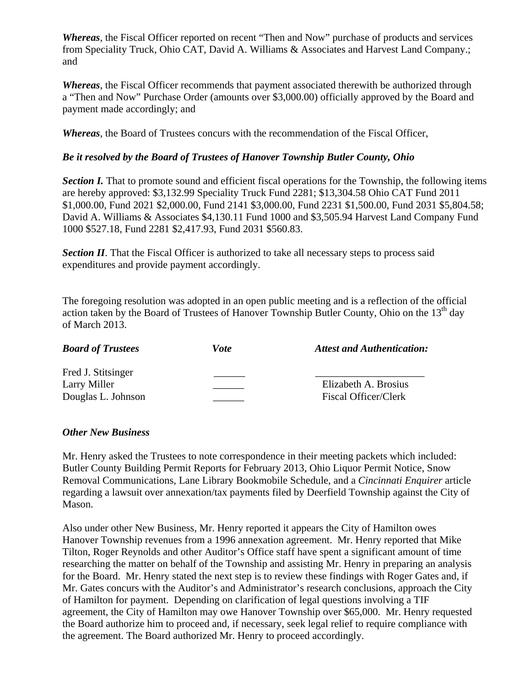*Whereas*, the Fiscal Officer reported on recent "Then and Now" purchase of products and services from Speciality Truck, Ohio CAT, David A. Williams & Associates and Harvest Land Company.; and

*Whereas*, the Fiscal Officer recommends that payment associated therewith be authorized through a "Then and Now" Purchase Order (amounts over \$3,000.00) officially approved by the Board and payment made accordingly; and

*Whereas*, the Board of Trustees concurs with the recommendation of the Fiscal Officer,

## *Be it resolved by the Board of Trustees of Hanover Township Butler County, Ohio*

**Section I.** That to promote sound and efficient fiscal operations for the Township, the following items are hereby approved: \$3,132.99 Speciality Truck Fund 2281; \$13,304.58 Ohio CAT Fund 2011 \$1,000.00, Fund 2021 \$2,000.00, Fund 2141 \$3,000.00, Fund 2231 \$1,500.00, Fund 2031 \$5,804.58; David A. Williams & Associates \$4,130.11 Fund 1000 and \$3,505.94 Harvest Land Company Fund 1000 \$527.18, Fund 2281 \$2,417.93, Fund 2031 \$560.83.

**Section II**. That the Fiscal Officer is authorized to take all necessary steps to process said expenditures and provide payment accordingly.

The foregoing resolution was adopted in an open public meeting and is a reflection of the official action taken by the Board of Trustees of Hanover Township Butler County, Ohio on the  $13<sup>th</sup>$  day of March 2013.

| <b>Board of Trustees</b> | Vote | <b>Attest and Authentication:</b> |
|--------------------------|------|-----------------------------------|
| Fred J. Stitsinger       |      |                                   |
| Larry Miller             |      | Elizabeth A. Brosius              |
| Douglas L. Johnson       |      | Fiscal Officer/Clerk              |

#### *Other New Business*

Mr. Henry asked the Trustees to note correspondence in their meeting packets which included: Butler County Building Permit Reports for February 2013, Ohio Liquor Permit Notice, Snow Removal Communications, Lane Library Bookmobile Schedule, and a *Cincinnati Enquirer* article regarding a lawsuit over annexation/tax payments filed by Deerfield Township against the City of Mason.

Also under other New Business, Mr. Henry reported it appears the City of Hamilton owes Hanover Township revenues from a 1996 annexation agreement. Mr. Henry reported that Mike Tilton, Roger Reynolds and other Auditor's Office staff have spent a significant amount of time researching the matter on behalf of the Township and assisting Mr. Henry in preparing an analysis for the Board. Mr. Henry stated the next step is to review these findings with Roger Gates and, if Mr. Gates concurs with the Auditor's and Administrator's research conclusions, approach the City of Hamilton for payment. Depending on clarification of legal questions involving a TIF agreement, the City of Hamilton may owe Hanover Township over \$65,000. Mr. Henry requested the Board authorize him to proceed and, if necessary, seek legal relief to require compliance with the agreement. The Board authorized Mr. Henry to proceed accordingly.